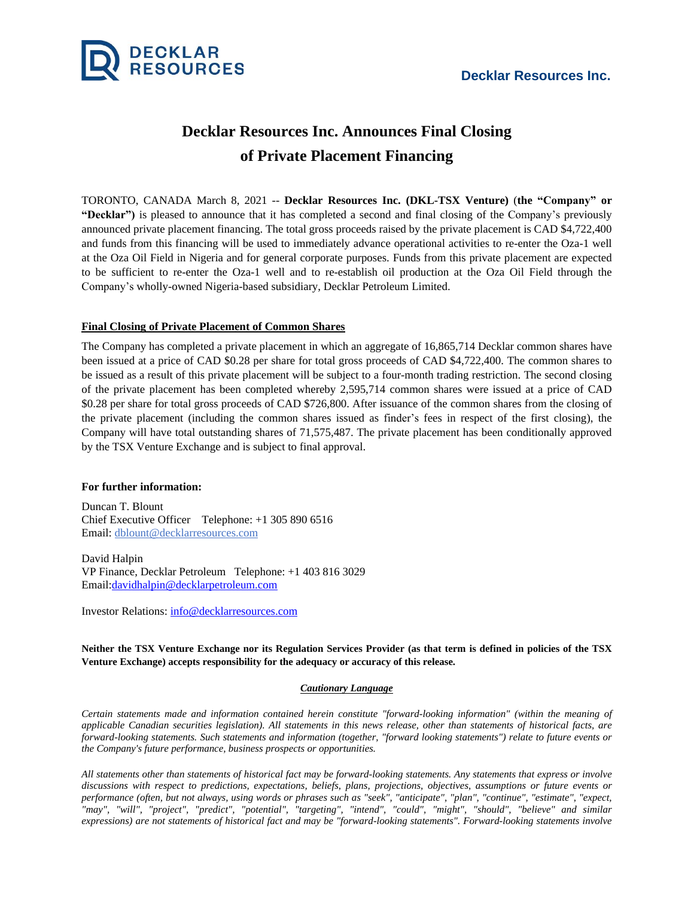

## **Decklar Resources Inc. Announces Final Closing of Private Placement Financing**

TORONTO, CANADA March 8, 2021 -- **Decklar Resources Inc. (DKL-TSX Venture)** (**the "Company" or "Decklar")** is pleased to announce that it has completed a second and final closing of the Company's previously announced private placement financing. The total gross proceeds raised by the private placement is CAD \$4,722,400 and funds from this financing will be used to immediately advance operational activities to re-enter the Oza-1 well at the Oza Oil Field in Nigeria and for general corporate purposes. Funds from this private placement are expected to be sufficient to re-enter the Oza-1 well and to re-establish oil production at the Oza Oil Field through the Company's wholly-owned Nigeria-based subsidiary, Decklar Petroleum Limited.

## **Final Closing of Private Placement of Common Shares**

The Company has completed a private placement in which an aggregate of 16,865,714 Decklar common shares have been issued at a price of CAD \$0.28 per share for total gross proceeds of CAD \$4,722,400. The common shares to be issued as a result of this private placement will be subject to a four-month trading restriction. The second closing of the private placement has been completed whereby 2,595,714 common shares were issued at a price of CAD \$0.28 per share for total gross proceeds of CAD \$726,800. After issuance of the common shares from the closing of the private placement (including the common shares issued as finder's fees in respect of the first closing), the Company will have total outstanding shares of 71,575,487. The private placement has been conditionally approved by the TSX Venture Exchange and is subject to final approval.

## **For further information:**

Duncan T. Blount Chief Executive Officer Telephone: +1 305 890 6516 Email: [dblount@decklarresources.com](mailto:dblount@decklarresources.com)

David Halpin VP Finance, Decklar Petroleum Telephone: +1 403 816 3029 Email[:davidhalpin@decklarpetroleum.com](mailto:davidhalpin@decklarpetroleum.com)

Investor Relations: [info@decklarresources.com](mailto:info@decklarresources.com)

Neither the TSX Venture Exchange nor its Regulation Services Provider (as that term is defined in policies of the TSX **Venture Exchange) accepts responsibility for the adequacy or accuracy of this release.**

## *Cautionary Language*

*Certain statements made and information contained herein constitute "forward-looking information" (within the meaning of* applicable Canadian securities legislation). All statements in this news release, other than statements of historical facts, are forward-looking statements. Such statements and information (together, "forward looking statements") relate to future events or *the Company's future performance, business prospects or opportunities.*

All statements other than statements of historical fact may be forward-looking statements. Any statements that express or involve discussions with respect to predictions, expectations, beliefs, plans, projections, objectives, assumptions or future events or performance (often, but not always, using words or phrases such as "seek", "anticipate", "plan", "continue", "estimate", "expect, *"may", "will", "project", "predict", "potential", "targeting", "intend", "could", "might", "should", "believe" and similar* expressions) are not statements of historical fact and may be "forward-looking statements". Forward-looking statements involve